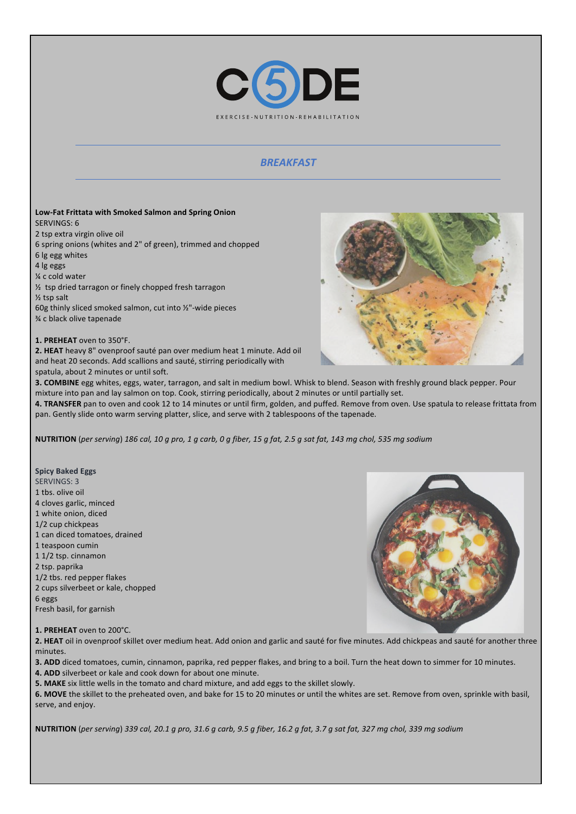

## *BREAKFAST*

#### Low-Fat Frittata with Smoked Salmon and Spring Onion SERVINGS: 6 2 tsp extra virgin olive oil 6 spring onions (whites and 2" of green), trimmed and chopped

6 lg egg whites

4 lg eggs

¼ c cold water

 $\frac{1}{2}$  tsp dried tarragon or finely chopped fresh tarragon

 $\frac{1}{2}$  tsp salt

60g thinly sliced smoked salmon, cut into  $\frac{1}{2}$ "-wide pieces ¾ c black olive tapenade 

1. PREHEAT oven to 350°F.

**2. HEAT** heavy 8" ovenproof sauté pan over medium heat 1 minute. Add oil and heat 20 seconds. Add scallions and sauté, stirring periodically with spatula, about 2 minutes or until soft.



3. COMBINE egg whites, eggs, water, tarragon, and salt in medium bowl. Whisk to blend. Season with freshly ground black pepper. Pour mixture into pan and lay salmon on top. Cook, stirring periodically, about 2 minutes or until partially set.

4. TRANSFER pan to oven and cook 12 to 14 minutes or until firm, golden, and puffed. Remove from oven. Use spatula to release frittata from pan. Gently slide onto warm serving platter, slice, and serve with 2 tablespoons of the tapenade.

**NUTRITION** (*per serving*) 186 cal, 10 g pro, 1 g carb, 0 g fiber, 15 g fat, 2.5 g sat fat, 143 mg chol, 535 mg sodium

**Spicy Baked Eggs** SERVINGS: 3 1 tbs. olive oil 4 cloves garlic, minced 1 white onion, diced 1/2 cup chickpeas 1 can diced tomatoes, drained 1 teaspoon cumin 1 1/2 tsp. cinnamon 2 tsp. paprika 1/2 tbs. red pepper flakes

2 cups silverbeet or kale, chopped 6 eggs Fresh basil, for garnish

1. PREHEAT oven to 200°C.



**2.** HEAT oil in ovenproof skillet over medium heat. Add onion and garlic and sauté for five minutes. Add chickpeas and sauté for another three minutes.

**3. ADD** diced tomatoes, cumin, cinnamon, paprika, red pepper flakes, and bring to a boil. Turn the heat down to simmer for 10 minutes. **4. ADD** silverbeet or kale and cook down for about one minute.

**5. MAKE** six little wells in the tomato and chard mixture, and add eggs to the skillet slowly.

6. MOVE the skillet to the preheated oven, and bake for 15 to 20 minutes or until the whites are set. Remove from oven, sprinkle with basil, serve, and enjoy.

**NUTRITION** (per serving) 339 cal, 20.1 *g* pro, 31.6 *g* carb, 9.5 *g* fiber, 16.2 *g* fat, 3.7 *g* sat fat, 327 mg chol, 339 mg sodium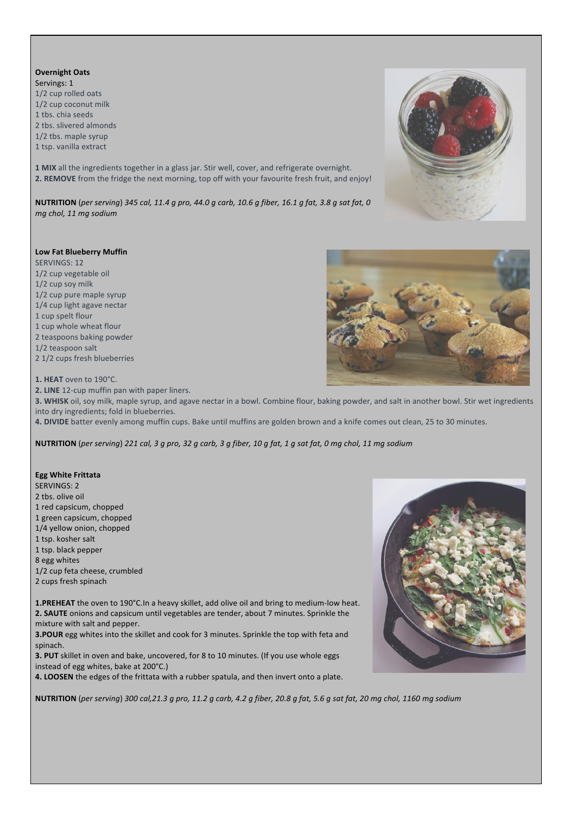**Overnight Oats** Servings: 1

1/2 cup rolled oats 1/2 cup coconut milk 1 ths. chia seeds 2 tbs. slivered almonds

1/2 tbs. maple syrup

1 tsp. vanilla extract

**1 MIX** all the ingredients together in a glass jar. Stir well, cover, and refrigerate overnight. **2. REMOVE** from the fridge the next morning, top off with your favourite fresh fruit, and enjoy!

**NUTRITION** (*per serving*) 345 cal, 11.4 g pro, 44.0 g carb, 10.6 g fiber, 16.1 g fat, 3.8 g sat fat, 0 *mg chol, 11 mg sodium*

### **Low Fat Blueberry Muffin**

SERVINGS: 12 1/2 cup vegetable oil 1/2 cup soy milk 1/2 cup pure maple syrup 1/4 cup light agave nectar 1 cup spelt flour 1 cup whole wheat flour 2 teaspoons baking powder 1/2 teaspoon salt 2 1/2 cups fresh blueberries

1. HEAT oven to 190°C.

**2. LINE** 12-cup muffin pan with paper liners.

**3.** WHISK oil, soy milk, maple syrup, and agave nectar in a bowl. Combine flour, baking powder, and salt in another bowl. Stir wet ingredients into dry ingredients; fold in blueberries.

4. DIVIDE batter evenly among muffin cups. Bake until muffins are golden brown and a knife comes out clean, 25 to 30 minutes.

**NUTRITION** (per serving) 221 cal, 3 g pro, 32 g carb, 3 g fiber, 10 g fat, 1 g sat fat, 0 mg chol, 11 mg sodium

#### **Egg White Frittata**

SERVINGS: 2

- 2 tbs. olive oil
- 1 red capsicum, chopped
- 1 green capsicum, chopped
- 1/4 yellow onion, chopped
- 1 tsp. kosher salt
- 1 tsp. black pepper
- 8 egg whites
- 1/2 cup feta cheese, crumbled
- 2 cups fresh spinach

**1.PREHEAT** the oven to 190°C.In a heavy skillet, add olive oil and bring to medium-low heat. **2. SAUTE** onions and capsicum until vegetables are tender, about 7 minutes. Sprinkle the mixture with salt and pepper.

**3.POUR** egg whites into the skillet and cook for 3 minutes. Sprinkle the top with feta and spinach.

**3. PUT** skillet in oven and bake, uncovered, for 8 to 10 minutes. (If you use whole eggs instead of egg whites, bake at 200°C.)

4. LOOSEN the edges of the frittata with a rubber spatula, and then invert onto a plate.

**NUTRITION** (per serving) 300 cal,21.3 g pro, 11.2 g carb, 4.2 g fiber, 20.8 g fat, 5.6 g sat fat, 20 mg chol, 1160 mg sodium



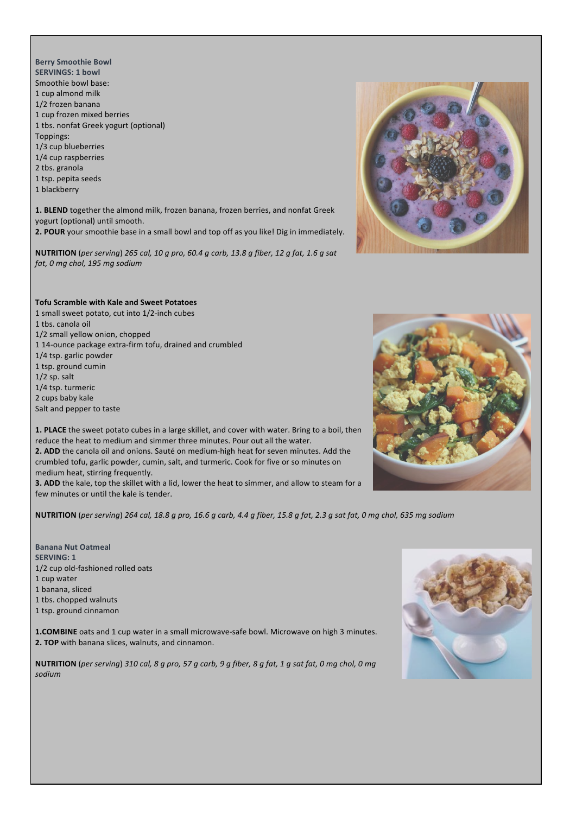





1. PLACE the sweet potato cubes in a large skillet, and cover with water. Bring to a boil, then reduce the heat to medium and simmer three minutes. Pour out all the water.

**2. ADD** the canola oil and onions. Sauté on medium-high heat for seven minutes. Add the crumbled tofu, garlic powder, cumin, salt, and turmeric. Cook for five or so minutes on medium heat, stirring frequently.

**3. ADD** the kale, top the skillet with a lid, lower the heat to simmer, and allow to steam for a few minutes or until the kale is tender.

**NUTRITION** (per serving) 264 cal, 18.8 q pro, 16.6 q carb, 4.4 q fiber, 15.8 q fat, 2.3 q sat fat, 0 mg chol, 635 mg sodium

**Banana Nut Oatmeal SERVING: 1** 1/2 cup old-fashioned rolled oats 1 cup water 1 banana, sliced 1 tbs. chopped walnuts 1 tsp. ground cinnamon

1 small sweet potato, cut into 1/2-inch cubes

114-ounce package extra-firm tofu, drained and crumbled

1/2 small yellow onion, chopped

1 tbs. canola oil

1/4 tsp. garlic powder 1 tsp. ground cumin  $1/2$  sp. salt 1/4 tsp. turmeric 2 cups baby kale Salt and pepper to taste

**1.COMBINE** oats and 1 cup water in a small microwave-safe bowl. Microwave on high 3 minutes. **2. TOP** with banana slices, walnuts, and cinnamon.

**NUTRITION** (*per serving*) 310 cal, 8 g pro, 57 g carb, 9 g fiber, 8 g fat, 1 g sat fat, 0 mg chol, 0 mg *sodium*

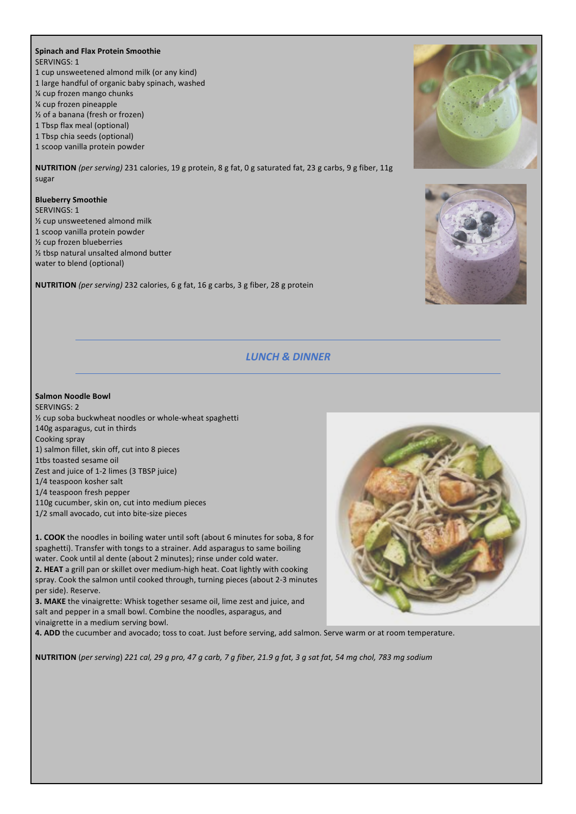#### **Spinach and Flax Protein Smoothie** SERVINGS: 1

- 1 cup unsweetened almond milk (or any kind)
- 1 large handful of organic baby spinach, washed
- **1/4 cup frozen mango chunks**
- % cup frozen pineapple
- $\frac{1}{2}$  of a banana (fresh or frozen)
- 1 Tbsp flax meal (optional)
- 1 Tbsp chia seeds (optional)
- 1 scoop vanilla protein powder

**NUTRITION** (per serving) 231 calories, 19 g protein, 8 g fat, 0 g saturated fat, 23 g carbs, 9 g fiber, 11g sugar

## **Blueberry Smoothie**

SERVINGS: 1  $\frac{1}{2}$  cup unsweetened almond milk 1 scoop vanilla protein powder  $\frac{1}{2}$  cup frozen blueberries  $\frac{1}{2}$  tbsp natural unsalted almond butter water to blend (optional)

**NUTRITION** (per serving) 232 calories, 6 g fat, 16 g carbs, 3 g fiber, 28 g protein





# *LUNCH & DINNER*

## **Salmon Noodle Bowl**

SERVINGS: 2  $\frac{1}{2}$  cup soba buckwheat noodles or whole-wheat spaghetti 140g asparagus, cut in thirds Cooking spray 1) salmon fillet, skin off, cut into 8 pieces 1tbs toasted sesame oil Zest and juice of 1-2 limes (3 TBSP juice) 1/4 teaspoon kosher salt 1/4 teaspoon fresh pepper 110g cucumber, skin on, cut into medium pieces 1/2 small avocado, cut into bite-size pieces

**1. COOK** the noodles in boiling water until soft (about 6 minutes for soba, 8 for spaghetti). Transfer with tongs to a strainer. Add asparagus to same boiling water. Cook until al dente (about 2 minutes); rinse under cold water. **2. HEAT** a grill pan or skillet over medium-high heat. Coat lightly with cooking spray. Cook the salmon until cooked through, turning pieces (about 2-3 minutes per side). Reserve.

**3. MAKE** the vinaigrette: Whisk together sesame oil, lime zest and juice, and salt and pepper in a small bowl. Combine the noodles, asparagus, and vinaigrette in a medium serving bowl.

4. ADD the cucumber and avocado; toss to coat. Just before serving, add salmon. Serve warm or at room temperature.

**NUTRITION** (*per serving*) 221 *cal,* 29 *g* pro, 47 *g carb,* 7 *g* fiber, 21.9 *g* fat, 3 *g* sat fat, 54 *mg* chol, 783 *mg* sodium

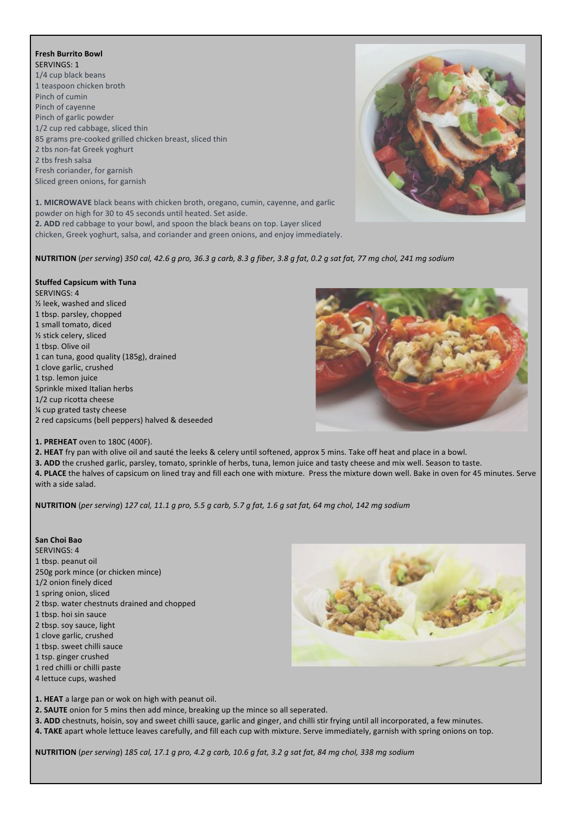## **Fresh Burrito Bowl**

SERVINGS: 1 1/4 cup black beans 1 teaspoon chicken broth Pinch of cumin Pinch of cayenne Pinch of garlic powder 1/2 cup red cabbage, sliced thin 85 grams pre-cooked grilled chicken breast, sliced thin 2 tbs non-fat Greek yoghurt 2 tbs fresh salsa Fresh coriander, for garnish Sliced green onions, for garnish

1. MICROWAVE black beans with chicken broth, oregano, cumin, cayenne, and garlic powder on high for 30 to 45 seconds until heated. Set aside. **2.** ADD red cabbage to your bowl, and spoon the black beans on top. Layer sliced chicken, Greek yoghurt, salsa, and coriander and green onions, and enjoy immediately.

**NUTRITION** (*per serving*) *350 cal, 42.6 g pro, 36.3 g carb, 8.3 g fiber, 3.8 g fat, 0.2 g sat fat, 77 mg chol, 241 mg sodium*

## **Stuffed Capsicum with Tuna**

SERVINGS: 4  $\frac{1}{2}$  leek, washed and sliced 1 tbsp. parsley, chopped 1 small tomato, diced ½ stick celery, sliced 1 tbsp. Olive oil 1 can tuna, good quality (185g), drained 1 clove garlic, crushed 1 tsp. lemon juice Sprinkle mixed Italian herbs 1/2 cup ricotta cheese % cup grated tasty cheese 2 red capsicums (bell peppers) halved & deseeded



**1. PREHEAT** oven to 180C (400F).

**2.** HEAT fry pan with olive oil and sauté the leeks & celery until softened, approx 5 mins. Take off heat and place in a bowl.

**3. ADD** the crushed garlic, parsley, tomato, sprinkle of herbs, tuna, lemon juice and tasty cheese and mix well. Season to taste.

4. PLACE the halves of capsicum on lined tray and fill each one with mixture. Press the mixture down well. Bake in oven for 45 minutes. Serve with a side salad.

**NUTRITION** (*per serving*) *127 cal, 11.1 g pro, 5.5 g carb, 5.7 g fat, 1.6 g sat fat, 64 mg chol, 142 mg sodium*

#### **San Choi Bao**

SERVINGS: 4 1 tbsp. peanut oil 250g pork mince (or chicken mince) 1/2 onion finely diced 1 spring onion, sliced 2 tbsp. water chestnuts drained and chopped 1 tbsp. hoi sin sauce 2 tbsp. soy sauce, light 1 clove garlic, crushed 1 tbsp. sweet chilli sauce 1 tsp. ginger crushed 1 red chilli or chilli paste 4 lettuce cups, washed



1. HEAT a large pan or wok on high with peanut oil.

**2. SAUTE** onion for 5 mins then add mince, breaking up the mince so all seperated.

**3. ADD** chestnuts, hoisin, soy and sweet chilli sauce, garlic and ginger, and chilli stir frying until all incorporated, a few minutes.

4. TAKE apart whole lettuce leaves carefully, and fill each cup with mixture. Serve immediately, garnish with spring onions on top.

**NUTRITION** (*per serving*) *185 cal, 17.1 g pro, 4.2 g carb, 10.6 g fat, 3.2 g sat fat, 84 mg chol, 338 mg sodium*

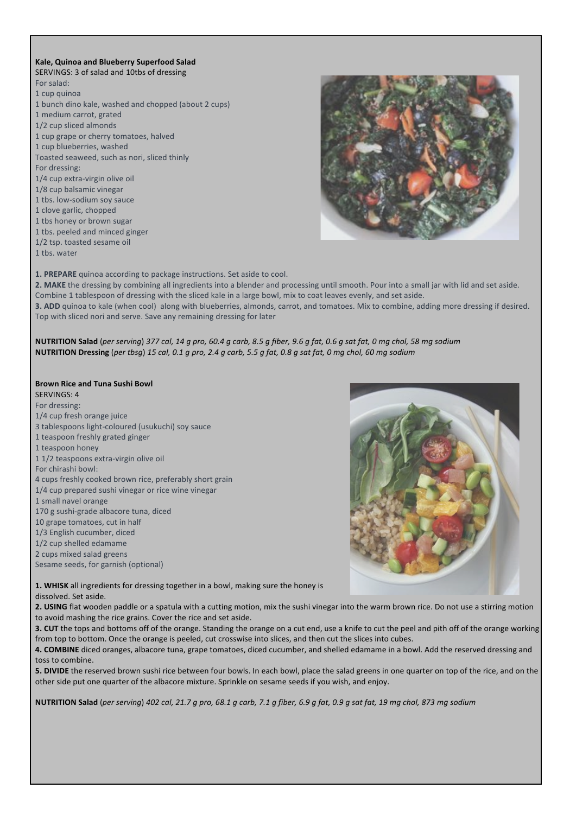#### **Kale, Quinoa and Blueberry Superfood Salad** SERVINGS: 3 of salad and 10tbs of dressing

For salad: 1 cup quinoa 1 bunch dino kale, washed and chopped (about 2 cups) 1 medium carrot, grated 1/2 cup sliced almonds 1 cup grape or cherry tomatoes, halved 1 cup blueberries, washed Toasted seaweed, such as nori, sliced thinly For dressing: 1/4 cup extra-virgin olive oil 1/8 cup balsamic vinegar 1 tbs. low-sodium soy sauce 1 clove garlic, chopped 1 tbs honey or brown sugar

1 tbs. peeled and minced ginger 1/2 tsp. toasted sesame oil

1 ths. water



**1. PREPARE** quinoa according to package instructions. Set aside to cool.

2. MAKE the dressing by combining all ingredients into a blender and processing until smooth. Pour into a small jar with lid and set aside. Combine 1 tablespoon of dressing with the sliced kale in a large bowl, mix to coat leaves evenly, and set aside. **3.** ADD quinoa to kale (when cool) along with blueberries, almonds, carrot, and tomatoes. Mix to combine, adding more dressing if desired. Top with sliced nori and serve. Save any remaining dressing for later

**NUTRITION Salad** (*per serving*) 377 cal, 14 g pro, 60.4 g carb, 8.5 g fiber, 9.6 g fat, 0.6 g sat fat, 0 mg chol, 58 mg sodium **NUTRITION Dressing** (*per tbsg*) *15 cal, 0.1 g pro, 2.4 g carb, 5.5 g fat, 0.8 g sat fat, 0 mg chol, 60 mg sodium*

#### **Brown Rice and Tuna Sushi Bowl** SERVINGS: 4

For dressing: 1/4 cup fresh orange juice 3 tablespoons light-coloured (usukuchi) soy sauce 1 teaspoon freshly grated ginger 1 teaspoon honey 1 1/2 teaspoons extra-virgin olive oil For chirashi bowl: 4 cups freshly cooked brown rice, preferably short grain 1/4 cup prepared sushi vinegar or rice wine vinegar 1 small navel orange 170 g sushi-grade albacore tuna, diced 10 grape tomatoes, cut in half 1/3 English cucumber, diced

- 1/2 cup shelled edamame
- 2 cups mixed salad greens

Sesame seeds, for garnish (optional)



1. WHISK all ingredients for dressing together in a bowl, making sure the honey is dissolved. Set aside.

2. USING flat wooden paddle or a spatula with a cutting motion, mix the sushi vinegar into the warm brown rice. Do not use a stirring motion to avoid mashing the rice grains. Cover the rice and set aside.

**3. CUT** the tops and bottoms off of the orange. Standing the orange on a cut end, use a knife to cut the peel and pith off of the orange working from top to bottom. Once the orange is peeled, cut crosswise into slices, and then cut the slices into cubes.

4. COMBINE diced oranges, albacore tuna, grape tomatoes, diced cucumber, and shelled edamame in a bowl. Add the reserved dressing and toss to combine.

**5. DIVIDE** the reserved brown sushi rice between four bowls. In each bowl, place the salad greens in one quarter on top of the rice, and on the other side put one quarter of the albacore mixture. Sprinkle on sesame seeds if you wish, and enjoy.

**NUTRITION Salad** (*per serving*) *402 cal, 21.7 g pro, 68.1 g carb, 7.1 g fiber, 6.9 g fat, 0.9 g sat fat, 19 mg chol, 873 mg sodium*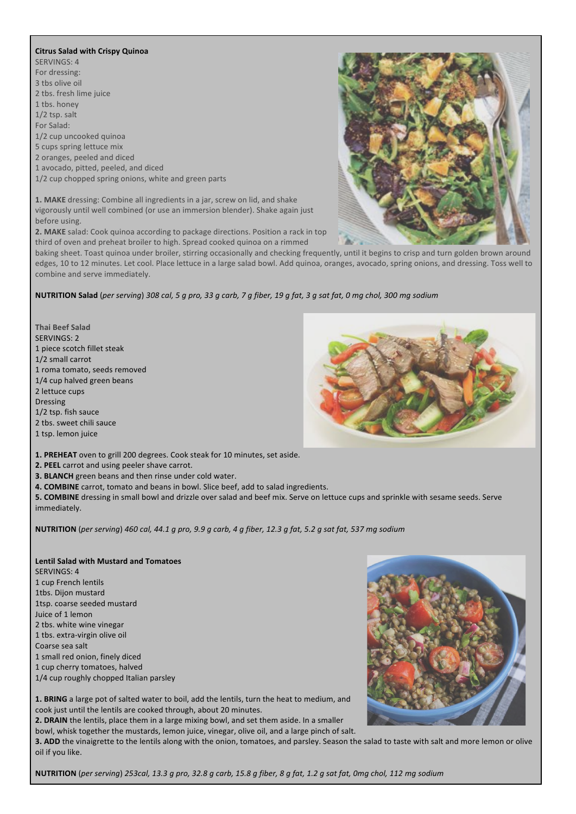#### **Citrus Salad with Crispy Quinoa**

SERVINGS: 4 For dressing: 3 tbs olive oil 2 tbs. fresh lime juice 1 tbs. honey 1/2 tsp. salt For Salad: 1/2 cup uncooked quinoa 5 cups spring lettuce mix 2 oranges, peeled and diced 1 avocado, pitted, peeled, and diced 1/2 cup chopped spring onions, white and green parts

1. MAKE dressing: Combine all ingredients in a jar, screw on lid, and shake vigorously until well combined (or use an immersion blender). Shake again just before using.

**2. MAKE** salad: Cook quinoa according to package directions. Position a rack in top third of oven and preheat broiler to high. Spread cooked quinoa on a rimmed

baking sheet. Toast quinoa under broiler, stirring occasionally and checking frequently, until it begins to crisp and turn golden brown around edges, 10 to 12 minutes. Let cool. Place lettuce in a large salad bowl. Add quinoa, oranges, avocado, spring onions, and dressing. Toss well to combine and serve immediately.

## **NUTRITION Salad** (*per serving*) 308 cal, 5 g pro, 33 g carb, 7 g fiber, 19 g fat, 3 g sat fat, 0 mg chol, 300 mg sodium

**Thai Beef Salad** SERVINGS: 2 1 piece scotch fillet steak 1/2 small carrot 1 roma tomato, seeds removed 1/4 cup halved green beans 2 lettuce cups Dressing 1/2 tsp. fish sauce 2 tbs. sweet chili sauce 1 tsp. lemon juice



1. PREHEAT oven to grill 200 degrees. Cook steak for 10 minutes, set aside.

- **2. PEEL** carrot and using peeler shave carrot.
- **3. BLANCH** green beans and then rinse under cold water.

**4. COMBINE** carrot, tomato and beans in bowl. Slice beef, add to salad ingredients.

5. COMBINE dressing in small bowl and drizzle over salad and beef mix. Serve on lettuce cups and sprinkle with sesame seeds. Serve immediately.

**NUTRITION** (*per serving*) *460 cal, 44.1 g pro, 9.9 g carb, 4 g fiber, 12.3 g fat, 5.2 g sat fat, 537 mg sodium*

- **Lentil Salad with Mustard and Tomatoes** SERVINGS: 4 1 cup French lentils 1tbs. Dijon mustard 1tsp. coarse seeded mustard Juice of 1 lemon 2 tbs. white wine vinegar 1 tbs. extra-virgin olive oil Coarse sea salt 1 small red onion, finely diced 1 cup cherry tomatoes, halved
- 1/4 cup roughly chopped Italian parsley



1. BRING a large pot of salted water to boil, add the lentils, turn the heat to medium, and cook just until the lentils are cooked through, about 20 minutes.

**2.** DRAIN the lentils, place them in a large mixing bowl, and set them aside. In a smaller

bowl, whisk together the mustards, lemon juice, vinegar, olive oil, and a large pinch of salt.

3. ADD the vinaigrette to the lentils along with the onion, tomatoes, and parsley. Season the salad to taste with salt and more lemon or olive oil if you like.

**NUTRITION** (per serving) 253cal, 13.3 g pro, 32.8 g carb, 15.8 g fiber, 8 g fat, 1.2 g sat fat, 0mg chol, 112 mg sodium

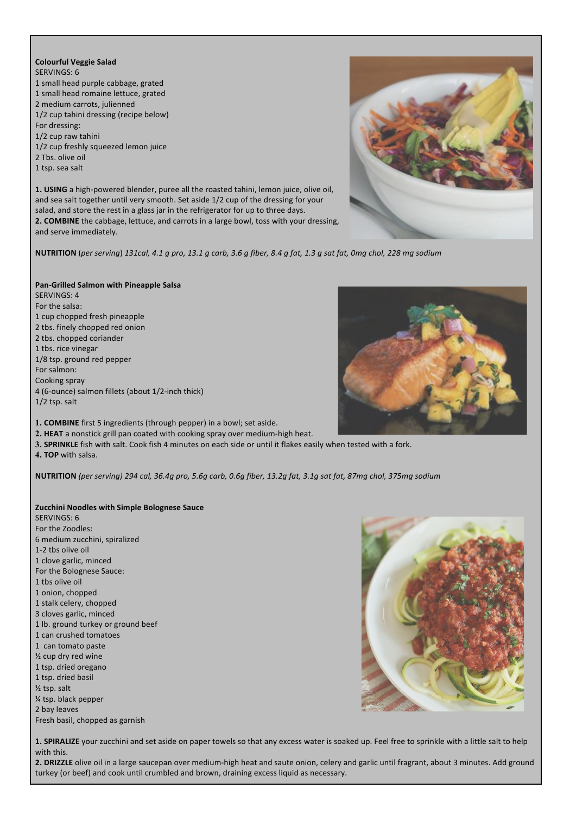## **Colourful Veggie Salad** SERVINGS: 6 1 small head purple cabbage, grated

- 1 small head romaine lettuce, grated
- 2 medium carrots, julienned
- 1/2 cup tahini dressing (recipe below)
- For dressing:
- 1/2 cup raw tahini
- 1/2 cup freshly squeezed lemon juice
- 2 Tbs. olive oil
- 1 tsp. sea salt

1. USING a high-powered blender, puree all the roasted tahini, lemon juice, olive oil, and sea salt together until very smooth. Set aside 1/2 cup of the dressing for your salad, and store the rest in a glass jar in the refrigerator for up to three days. 2. COMBINE the cabbage, lettuce, and carrots in a large bowl, toss with your dressing, and serve immediately.



**NUTRITION** (per serving) 131cal, 4.1 g pro, 13.1 g carb, 3.6 g fiber, 8.4 g fat, 1.3 g sat fat, 0mg chol, 228 mg sodium

## **Pan-Grilled Salmon with Pineapple Salsa**

SERVINGS: 4 For the salsa: 1 cup chopped fresh pineapple 2 tbs. finely chopped red onion 2 tbs. chopped coriander 1 tbs. rice vinegar 1/8 tsp. ground red pepper For salmon: Cooking spray 4 (6-ounce) salmon fillets (about 1/2-inch thick) 1/2 tsp. salt



- 2. HEAT a nonstick grill pan coated with cooking spray over medium-high heat.
- **3. SPRINKLE** fish with salt. Cook fish 4 minutes on each side or until it flakes easily when tested with a fork.
- **4. TOP** with salsa.

**NUTRITION** (per serving) 294 cal, 36.4g pro, 5.6g carb, 0.6g fiber, 13.2g fat, 3.1g sat fat, 87mg chol, 375mg sodium

## **Zucchini Noodles with Simple Bolognese Sauce**

SERVINGS: 6 For the Zoodles: 6 medium zucchini, spiralized 1-2 tbs olive oil 1 clove garlic, minced For the Bolognese Sauce: 1 tbs olive oil 1 onion, chopped 1 stalk celery, chopped 3 cloves garlic, minced 1 lb. ground turkey or ground beef 1 can crushed tomatoes 1 can tomato paste  $\frac{1}{2}$  cup dry red wine 1 tsp. dried oregano 1 tsp. dried basil  $\frac{1}{2}$  tsp. salt ¼ tsp. black pepper 2 hay leaves Fresh basil, chopped as garnish



1. **SPIRALIZE** your zucchini and set aside on paper towels so that any excess water is soaked up. Feel free to sprinkle with a little salt to help with this.

2. DRIZZLE olive oil in a large saucepan over medium-high heat and saute onion, celery and garlic until fragrant, about 3 minutes. Add ground turkey (or beef) and cook until crumbled and brown, draining excess liquid as necessary.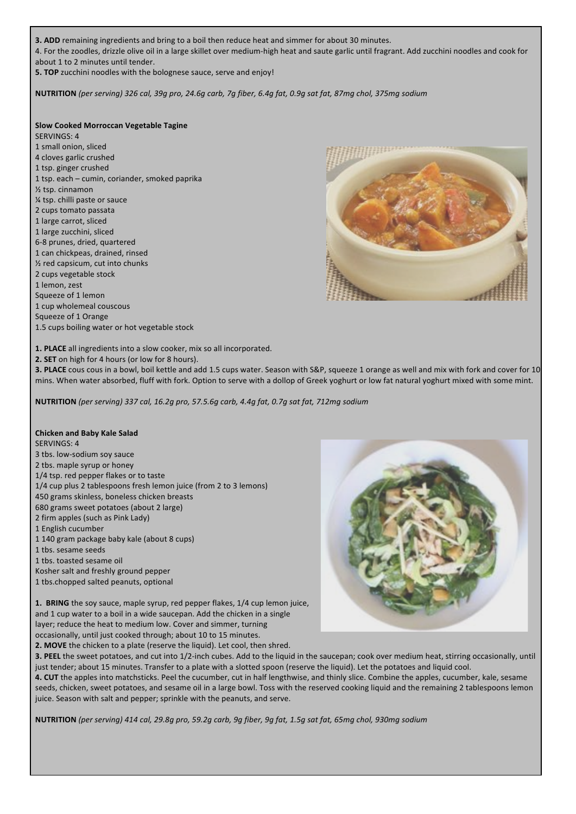**3. ADD** remaining ingredients and bring to a boil then reduce heat and simmer for about 30 minutes. 4. For the zoodles, drizzle olive oil in a large skillet over medium-high heat and saute garlic until fragrant. Add zucchini noodles and cook for about 1 to 2 minutes until tender.

**5. TOP** zucchini noodles with the bolognese sauce, serve and enjoy!

**NUTRITION** *(per serving) 326 cal, 39g pro, 24.6g carb, 7g fiber, 6.4g fat, 0.9g sat fat, 87mg chol, 375mg sodium*

## **Slow Cooked Morroccan Vegetable Tagine**

SERVINGS: 4

- 1 small onion, sliced 4 cloves garlic crushed
- 1 tsp. ginger crushed
- 1 tsp. each cumin, coriander, smoked paprika
- $\frac{1}{2}$  tsp. cinnamon
- $%$  tsp. chilli paste or sauce
- 2 cups tomato passata
- 1 large carrot, sliced
- 1 large zucchini, sliced
- 6-8 prunes, dried, quartered
- 1 can chickpeas, drained, rinsed
- $%$  red capsicum, cut into chunks
- 2 cups vegetable stock
- 1 lemon, zest
- Squeeze of 1 lemon
- 1 cup wholemeal couscous
- Squeeze of 1 Orange
- 1.5 cups boiling water or hot vegetable stock

1. PLACE all ingredients into a slow cooker, mix so all incorporated.

**2. SET** on high for 4 hours (or low for 8 hours).

**3. PLACE** cous cous in a bowl, boil kettle and add 1.5 cups water. Season with S&P, squeeze 1 orange as well and mix with fork and cover for 10 mins. When water absorbed, fluff with fork. Option to serve with a dollop of Greek yoghurt or low fat natural yoghurt mixed with some mint.

**NUTRITION** *(per serving) 337 cal, 16.2g pro, 57.5.6g carb, 4.4g fat, 0.7g sat fat, 712mg sodium*

### **Chicken and Baby Kale Salad**

SERVINGS: 4

- 3 tbs. low-sodium soy sauce
- 2 tbs. maple syrup or honey
- 1/4 tsp. red pepper flakes or to taste
- 1/4 cup plus 2 tablespoons fresh lemon juice (from 2 to 3 lemons)
- 450 grams skinless, boneless chicken breasts
- 680 grams sweet potatoes (about 2 large)
- 2 firm apples (such as Pink Lady)
- 1 English cucumber
- 1 140 gram package baby kale (about 8 cups)
- 1 tbs. sesame seeds
- 1 tbs. toasted sesame oil
- Kosher salt and freshly ground pepper
- 1 tbs.chopped salted peanuts, optional

**1. BRING** the soy sauce, maple syrup, red pepper flakes, 1/4 cup lemon juice, and 1 cup water to a boil in a wide saucepan. Add the chicken in a single layer; reduce the heat to medium low. Cover and simmer, turning occasionally, until just cooked through; about 10 to 15 minutes.

**2. MOVE** the chicken to a plate (reserve the liquid). Let cool, then shred.



**3. PEEL** the sweet potatoes, and cut into 1/2-inch cubes. Add to the liquid in the saucepan; cook over medium heat, stirring occasionally, until just tender; about 15 minutes. Transfer to a plate with a slotted spoon (reserve the liquid). Let the potatoes and liquid cool. 4. CUT the apples into matchsticks. Peel the cucumber, cut in half lengthwise, and thinly slice. Combine the apples, cucumber, kale, sesame seeds, chicken, sweet potatoes, and sesame oil in a large bowl. Toss with the reserved cooking liquid and the remaining 2 tablespoons lemon juice. Season with salt and pepper; sprinkle with the peanuts, and serve.

**NUTRITION** *(per serving) 414 cal, 29.8g pro, 59.2g carb, 9g fiber, 9g fat, 1.5g sat fat, 65mg chol, 930mg sodium*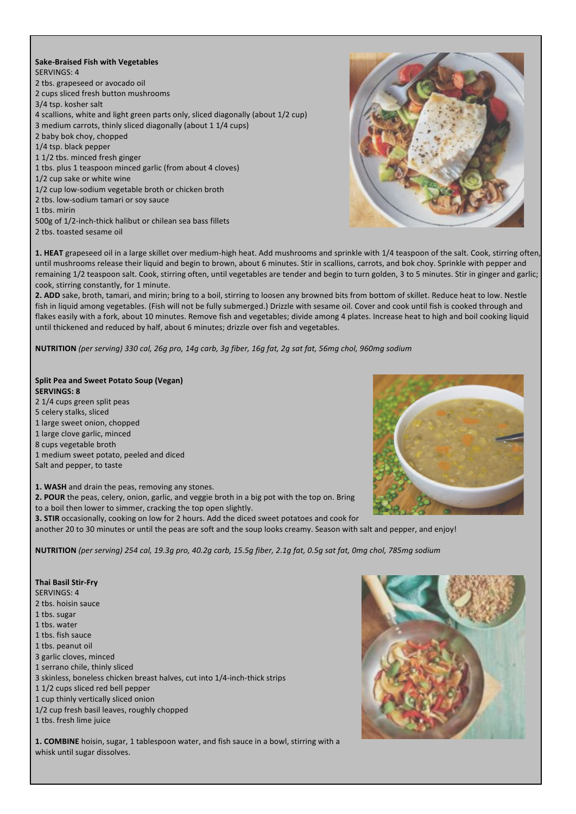## **Sake-Braised Fish with Vegetables** SERVINGS: 4 2 tbs. grapeseed or avocado oil 2 cups sliced fresh button mushrooms 3/4 tsp. kosher salt 4 scallions, white and light green parts only, sliced diagonally (about 1/2 cup) 3 medium carrots, thinly sliced diagonally (about 1 1/4 cups) 2 baby bok choy, chopped 1/4 tsp. black pepper 1 1/2 tbs. minced fresh ginger 1 tbs. plus 1 teaspoon minced garlic (from about 4 cloves) 1/2 cup sake or white wine 1/2 cup low-sodium vegetable broth or chicken broth 2 tbs. low-sodium tamari or soy sauce 1 tbs. mirin 500g of 1/2-inch-thick halibut or chilean sea bass fillets

2 tbs. toasted sesame oil



1. HEAT grapeseed oil in a large skillet over medium-high heat. Add mushrooms and sprinkle with 1/4 teaspoon of the salt. Cook, stirring often, until mushrooms release their liquid and begin to brown, about 6 minutes. Stir in scallions, carrots, and bok choy. Sprinkle with pepper and remaining 1/2 teaspoon salt. Cook, stirring often, until vegetables are tender and begin to turn golden, 3 to 5 minutes. Stir in ginger and garlic; cook, stirring constantly, for 1 minute.

2. ADD sake, broth, tamari, and mirin; bring to a boil, stirring to loosen any browned bits from bottom of skillet. Reduce heat to low. Nestle fish in liquid among vegetables. (Fish will not be fully submerged.) Drizzle with sesame oil. Cover and cook until fish is cooked through and flakes easily with a fork, about 10 minutes. Remove fish and vegetables; divide among 4 plates. Increase heat to high and boil cooking liquid until thickened and reduced by half, about 6 minutes; drizzle over fish and vegetables.

**NUTRITION** *(per serving) 330 cal, 26g pro, 14g carb, 3g fiber, 16g fat, 2g sat fat, 56mg chol, 960mg sodium*

### **Split Pea and Sweet Potato Soup (Vegan) SERVINGS: 8** 2 1/4 cups green split peas

5 celery stalks, sliced

- 1 large sweet onion, chopped
- 1 large clove garlic, minced
- 8 cups vegetable broth
- 1 medium sweet potato, peeled and diced Salt and pepper, to taste

**1. WASH** and drain the peas, removing any stones.

2. POUR the peas, celery, onion, garlic, and veggie broth in a big pot with the top on. Bring to a boil then lower to simmer, cracking the top open slightly.

**3. STIR** occasionally, cooking on low for 2 hours. Add the diced sweet potatoes and cook for

another 20 to 30 minutes or until the peas are soft and the soup looks creamy. Season with salt and pepper, and enjoy!

**NUTRITION** *(per serving) 254 cal, 19.3g pro, 40.2g carb, 15.5g fiber, 2.1g fat, 0.5g sat fat, 0mg chol, 785mg sodium*

## **Thai Basil Stir-Fry**

SERVINGS: 4

- 2 ths. hoisin sauce
- 1 ths. sugar
- 1 ths. water
- 1 tbs. fish sauce
- 1 tbs. peanut oil
- 3 garlic cloves, minced
- 1 serrano chile, thinly sliced
- 3 skinless, boneless chicken breast halves, cut into 1/4-inch-thick strips
- 1 1/2 cups sliced red bell pepper
- 1 cup thinly vertically sliced onion
- 1/2 cup fresh basil leaves, roughly chopped
- 1 tbs. fresh lime juice

**1. COMBINE** hoisin, sugar, 1 tablespoon water, and fish sauce in a bowl, stirring with a whisk until sugar dissolves.

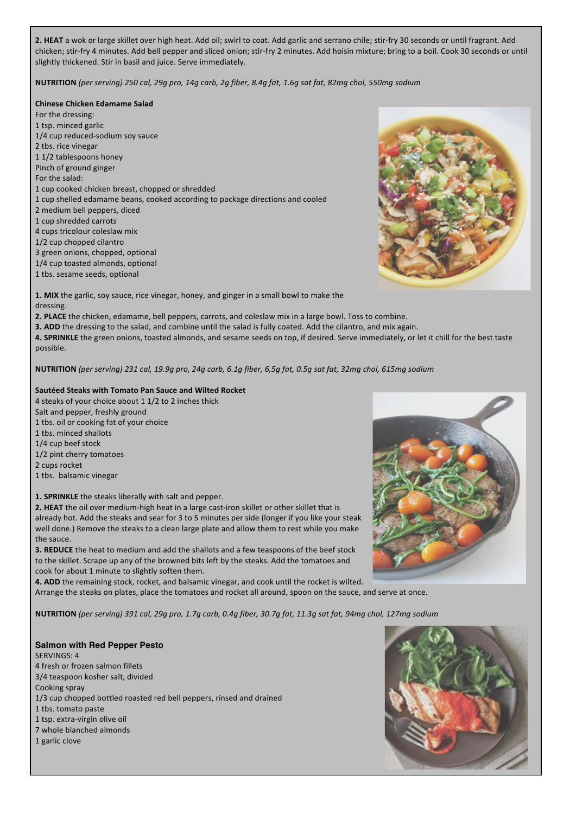2. HEAT a wok or large skillet over high heat. Add oil; swirl to coat. Add garlic and serrano chile; stir-fry 30 seconds or until fragrant. Add chicken; stir-fry 4 minutes. Add bell pepper and sliced onion; stir-fry 2 minutes. Add hoisin mixture; bring to a boil. Cook 30 seconds or until slightly thickened. Stir in basil and juice. Serve immediately.

**NUTRITION** *(per serving) 250 cal, 29g pro, 14g carb, 2g fiber, 8.4g fat, 1.6g sat fat, 82mg chol, 550mg sodium*

**Chinese Chicken Edamame Salad**

For the dressing: 1 tsp. minced garlic 1/4 cup reduced-sodium soy sauce 2 tbs. rice vinegar 1 1/2 tablespoons honey Pinch of ground ginger For the salad: 1 cup cooked chicken breast, chopped or shredded 1 cup shelled edamame beans, cooked according to package directions and cooled 2 medium bell peppers, diced 1 cup shredded carrots 4 cups tricolour coleslaw mix 1/2 cup chopped cilantro 3 green onions, chopped, optional 1/4 cup toasted almonds, optional

1 tbs. sesame seeds, optional



1. MIX the garlic, soy sauce, rice vinegar, honey, and ginger in a small bowl to make the dressing.

2. PLACE the chicken, edamame, bell peppers, carrots, and coleslaw mix in a large bowl. Toss to combine.

**3. ADD** the dressing to the salad, and combine until the salad is fully coated. Add the cilantro, and mix again.

4. SPRINKLE the green onions, toasted almonds, and sesame seeds on top, if desired. Serve immediately, or let it chill for the best taste possible.

**NUTRITION** (per serving) 231 cal, 19.9g pro, 24g carb, 6.1g fiber, 6,5g fat, 0.5g sat fat, 32mg chol, 615mg sodium

## **Sautéed Steaks with Tomato Pan Sauce and Wilted Rocket**

4 steaks of your choice about 1 1/2 to 2 inches thick Salt and pepper, freshly ground 1 tbs. oil or cooking fat of your choice 1 tbs. minced shallots 1/4 cup beef stock

1/2 pint cherry tomatoes

2 cups rocket

1 tbs. balsamic vinegar

**1. SPRINKLE** the steaks liberally with salt and pepper.

**2.** HEAT the oil over medium-high heat in a large cast-iron skillet or other skillet that is already hot. Add the steaks and sear for 3 to 5 minutes per side (longer if you like your steak well done.) Remove the steaks to a clean large plate and allow them to rest while you make the sauce.

**3. REDUCE** the heat to medium and add the shallots and a few teaspoons of the beef stock to the skillet. Scrape up any of the browned bits left by the steaks. Add the tomatoes and cook for about 1 minute to slightly soften them.

**4.** ADD the remaining stock, rocket, and balsamic vinegar, and cook until the rocket is wilted. Arrange the steaks on plates, place the tomatoes and rocket all around, spoon on the sauce, and serve at once.

**NUTRITION** (per serving) 391 cal, 29g pro, 1.7g carb, 0.4g fiber, 30.7g fat, 11.3g sat fat, 94mg chol, 127mg sodium

**Salmon with Red Pepper Pesto** SERVINGS: 4 4 fresh or frozen salmon fillets 3/4 teaspoon kosher salt, divided Cooking spray 1/3 cup chopped bottled roasted red bell peppers, rinsed and drained 1 tbs. tomato paste 1 tsp. extra-virgin olive oil 7 whole blanched almonds 1 garlic clove